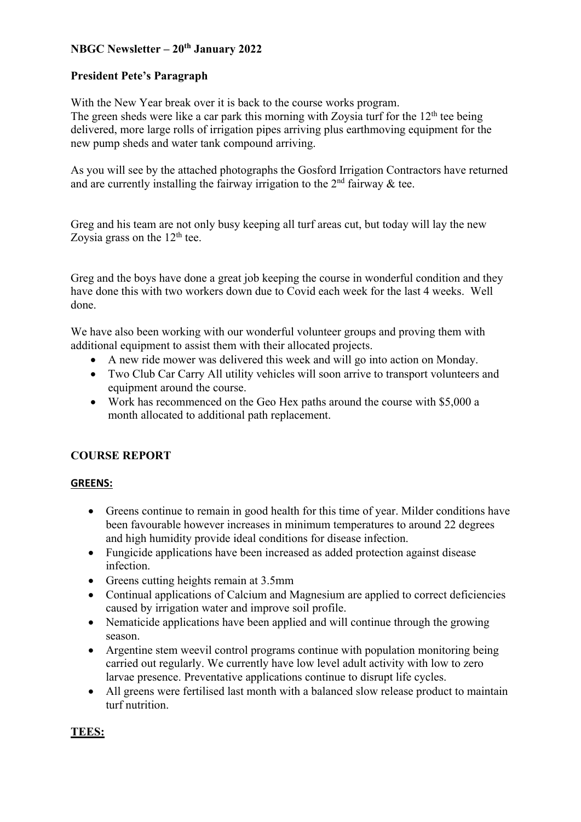## **NBGC Newsletter – 20th January 2022**

## **President Pete's Paragraph**

With the New Year break over it is back to the course works program.

The green sheds were like a car park this morning with Zoysia turf for the  $12<sup>th</sup>$  tee being delivered, more large rolls of irrigation pipes arriving plus earthmoving equipment for the new pump sheds and water tank compound arriving.

As you will see by the attached photographs the Gosford Irrigation Contractors have returned and are currently installing the fairway irrigation to the  $2<sup>nd</sup>$  fairway & tee.

Greg and his team are not only busy keeping all turf areas cut, but today will lay the new Zoysia grass on the  $12<sup>th</sup>$  tee.

Greg and the boys have done a great job keeping the course in wonderful condition and they have done this with two workers down due to Covid each week for the last 4 weeks. Well done.

We have also been working with our wonderful volunteer groups and proving them with additional equipment to assist them with their allocated projects.

- A new ride mower was delivered this week and will go into action on Monday.
- Two Club Car Carry All utility vehicles will soon arrive to transport volunteers and equipment around the course.
- Work has recommenced on the Geo Hex paths around the course with \$5,000 a month allocated to additional path replacement.

# **COURSE REPORT**

## **GREENS:**

- Greens continue to remain in good health for this time of year. Milder conditions have been favourable however increases in minimum temperatures to around 22 degrees and high humidity provide ideal conditions for disease infection.
- Fungicide applications have been increased as added protection against disease infection.
- Greens cutting heights remain at 3.5mm
- Continual applications of Calcium and Magnesium are applied to correct deficiencies caused by irrigation water and improve soil profile.
- Nematicide applications have been applied and will continue through the growing season.
- Argentine stem weevil control programs continue with population monitoring being carried out regularly. We currently have low level adult activity with low to zero larvae presence. Preventative applications continue to disrupt life cycles.
- All greens were fertilised last month with a balanced slow release product to maintain turf nutrition.

## **TEES:**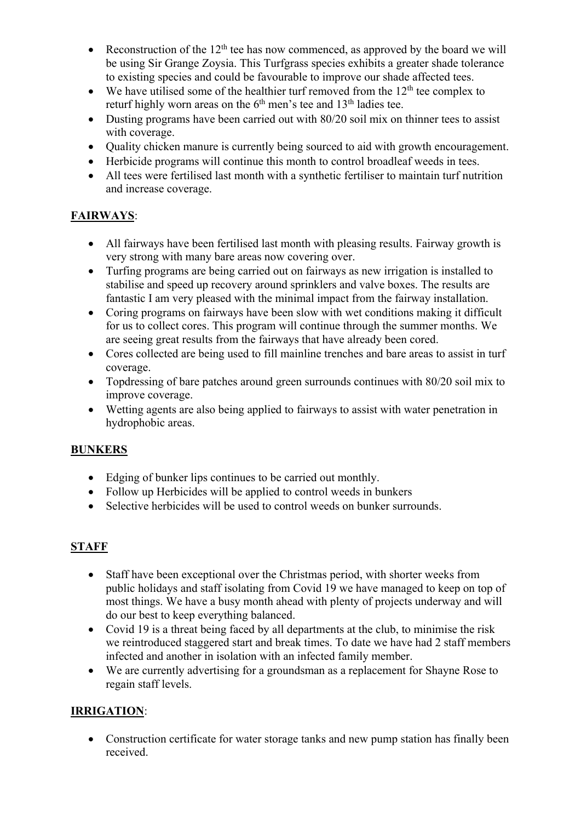- Reconstruction of the  $12<sup>th</sup>$  tee has now commenced, as approved by the board we will be using Sir Grange Zoysia. This Turfgrass species exhibits a greater shade tolerance to existing species and could be favourable to improve our shade affected tees.
- We have utilised some of the healthier turf removed from the  $12<sup>th</sup>$  tee complex to returf highly worn areas on the  $6<sup>th</sup>$  men's tee and  $13<sup>th</sup>$  ladies tee.
- Dusting programs have been carried out with 80/20 soil mix on thinner tees to assist with coverage.
- Quality chicken manure is currently being sourced to aid with growth encouragement.
- Herbicide programs will continue this month to control broadleaf weeds in tees.
- All tees were fertilised last month with a synthetic fertiliser to maintain turf nutrition and increase coverage.

# **FAIRWAYS**:

- All fairways have been fertilised last month with pleasing results. Fairway growth is very strong with many bare areas now covering over.
- Turfing programs are being carried out on fairways as new irrigation is installed to stabilise and speed up recovery around sprinklers and valve boxes. The results are fantastic I am very pleased with the minimal impact from the fairway installation.
- Coring programs on fairways have been slow with wet conditions making it difficult for us to collect cores. This program will continue through the summer months. We are seeing great results from the fairways that have already been cored.
- Cores collected are being used to fill mainline trenches and bare areas to assist in turf coverage.
- Topdressing of bare patches around green surrounds continues with 80/20 soil mix to improve coverage.
- Wetting agents are also being applied to fairways to assist with water penetration in hydrophobic areas.

# **BUNKERS**

- Edging of bunker lips continues to be carried out monthly.
- Follow up Herbicides will be applied to control weeds in bunkers
- Selective herbicides will be used to control weeds on bunker surrounds.

## **STAFF**

- Staff have been exceptional over the Christmas period, with shorter weeks from public holidays and staff isolating from Covid 19 we have managed to keep on top of most things. We have a busy month ahead with plenty of projects underway and will do our best to keep everything balanced.
- Covid 19 is a threat being faced by all departments at the club, to minimise the risk we reintroduced staggered start and break times. To date we have had 2 staff members infected and another in isolation with an infected family member.
- We are currently advertising for a groundsman as a replacement for Shayne Rose to regain staff levels.

# **IRRIGATION**:

• Construction certificate for water storage tanks and new pump station has finally been received.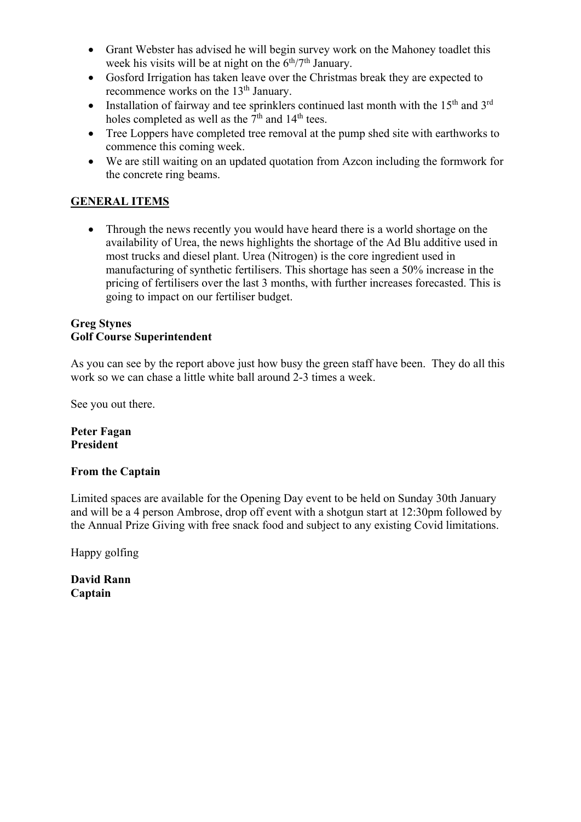- Grant Webster has advised he will begin survey work on the Mahoney toadlet this week his visits will be at night on the  $6<sup>th</sup>/7<sup>th</sup>$  January.
- Gosford Irrigation has taken leave over the Christmas break they are expected to recommence works on the 13<sup>th</sup> January.
- Installation of fairway and tee sprinklers continued last month with the  $15<sup>th</sup>$  and  $3<sup>rd</sup>$ holes completed as well as the  $7<sup>th</sup>$  and  $14<sup>th</sup>$  tees.
- Tree Loppers have completed tree removal at the pump shed site with earthworks to commence this coming week.
- We are still waiting on an updated quotation from Azcon including the formwork for the concrete ring beams.

# **GENERAL ITEMS**

• Through the news recently you would have heard there is a world shortage on the availability of Urea, the news highlights the shortage of the Ad Blu additive used in most trucks and diesel plant. Urea (Nitrogen) is the core ingredient used in manufacturing of synthetic fertilisers. This shortage has seen a 50% increase in the pricing of fertilisers over the last 3 months, with further increases forecasted. This is going to impact on our fertiliser budget.

### **Greg Stynes Golf Course Superintendent**

As you can see by the report above just how busy the green staff have been. They do all this work so we can chase a little white ball around 2-3 times a week.

See you out there.

**Peter Fagan President**

## **From the Captain**

Limited spaces are available for the Opening Day event to be held on Sunday 30th January and will be a 4 person Ambrose, drop off event with a shotgun start at 12:30pm followed by the Annual Prize Giving with free snack food and subject to any existing Covid limitations.

Happy golfing

**David Rann Captain**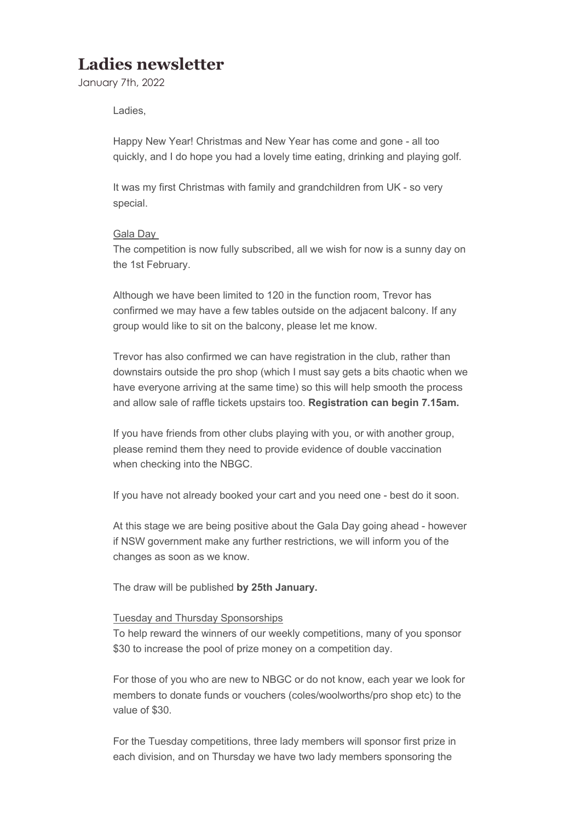# **Ladies newsletter**

January 7th, 2022

Ladies,

Happy New Year! Christmas and New Year has come and gone - all too quickly, and I do hope you had a lovely time eating, drinking and playing golf.

It was my first Christmas with family and grandchildren from UK - so very special.

#### Gala Day

The competition is now fully subscribed, all we wish for now is a sunny day on the 1st February.

Although we have been limited to 120 in the function room, Trevor has confirmed we may have a few tables outside on the adjacent balcony. If any group would like to sit on the balcony, please let me know.

Trevor has also confirmed we can have registration in the club, rather than downstairs outside the pro shop (which I must say gets a bits chaotic when we have everyone arriving at the same time) so this will help smooth the process and allow sale of raffle tickets upstairs too. **Registration can begin 7.15am.**

If you have friends from other clubs playing with you, or with another group, please remind them they need to provide evidence of double vaccination when checking into the NBGC.

If you have not already booked your cart and you need one - best do it soon.

At this stage we are being positive about the Gala Day going ahead - however if NSW government make any further restrictions, we will inform you of the changes as soon as we know.

The draw will be published **by 25th January.**

#### Tuesday and Thursday Sponsorships

To help reward the winners of our weekly competitions, many of you sponsor \$30 to increase the pool of prize money on a competition day.

For those of you who are new to NBGC or do not know, each year we look for members to donate funds or vouchers (coles/woolworths/pro shop etc) to the value of \$30.

For the Tuesday competitions, three lady members will sponsor first prize in each division, and on Thursday we have two lady members sponsoring the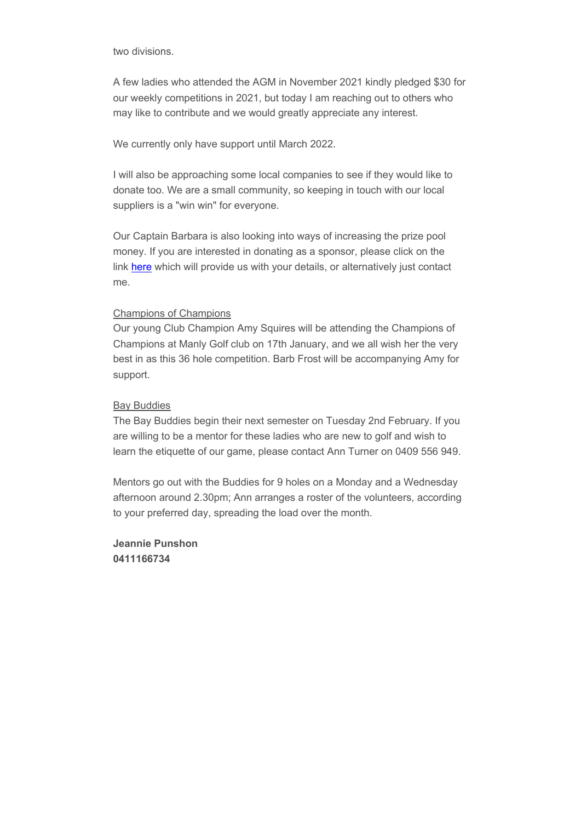two divisions.

A few ladies who attended the AGM in November 2021 kindly pledged \$30 for our weekly competitions in 2021, but today I am reaching out to others who may like to contribute and we would greatly appreciate any interest.

We currently only have support until March 2022.

I will also be approaching some local companies to see if they would like to donate too. We are a small community, so keeping in touch with our local suppliers is a "win win" for everyone.

Our Captain Barbara is also looking into ways of increasing the prize pool money. If you are interested in donating as a sponsor, please click on the link here which will provide us with your details, or alternatively just contact me.

#### Champions of Champions

Our young Club Champion Amy Squires will be attending the Champions of Champions at Manly Golf club on 17th January, and we all wish her the very best in as this 36 hole competition. Barb Frost will be accompanying Amy for support.

#### Bay Buddies

The Bay Buddies begin their next semester on Tuesday 2nd February. If you are willing to be a mentor for these ladies who are new to golf and wish to learn the etiquette of our game, please contact Ann Turner on 0409 556 949.

Mentors go out with the Buddies for 9 holes on a Monday and a Wednesday afternoon around 2.30pm; Ann arranges a roster of the volunteers, according to your preferred day, spreading the load over the month.

**Jeannie Punshon 0411166734**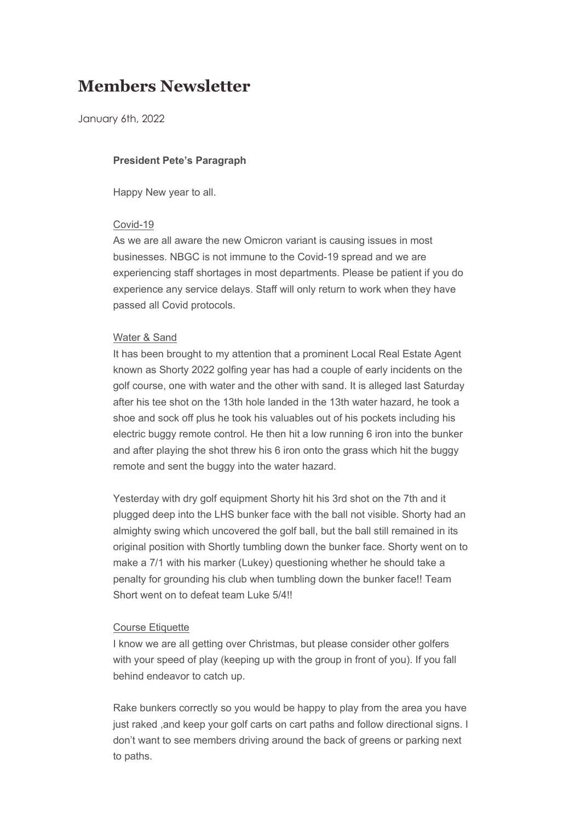# **Members Newsletter**

January 6th, 2022

#### **President Pete's Paragraph**

Happy New year to all.

#### Covid-19

As we are all aware the new Omicron variant is causing issues in most businesses. NBGC is not immune to the Covid-19 spread and we are experiencing staff shortages in most departments. Please be patient if you do experience any service delays. Staff will only return to work when they have passed all Covid protocols.

#### Water & Sand

It has been brought to my attention that a prominent Local Real Estate Agent known as Shorty 2022 golfing year has had a couple of early incidents on the golf course, one with water and the other with sand. It is alleged last Saturday after his tee shot on the 13th hole landed in the 13th water hazard, he took a shoe and sock off plus he took his valuables out of his pockets including his electric buggy remote control. He then hit a low running 6 iron into the bunker and after playing the shot threw his 6 iron onto the grass which hit the buggy remote and sent the buggy into the water hazard.

Yesterday with dry golf equipment Shorty hit his 3rd shot on the 7th and it plugged deep into the LHS bunker face with the ball not visible. Shorty had an almighty swing which uncovered the golf ball, but the ball still remained in its original position with Shortly tumbling down the bunker face. Shorty went on to make a 7/1 with his marker (Lukey) questioning whether he should take a penalty for grounding his club when tumbling down the bunker face!! Team Short went on to defeat team Luke 5/4!!

#### Course Etiquette

I know we are all getting over Christmas, but please consider other golfers with your speed of play (keeping up with the group in front of you). If you fall behind endeavor to catch up.

Rake bunkers correctly so you would be happy to play from the area you have just raked , and keep your golf carts on cart paths and follow directional signs. I don't want to see members driving around the back of greens or parking next to paths.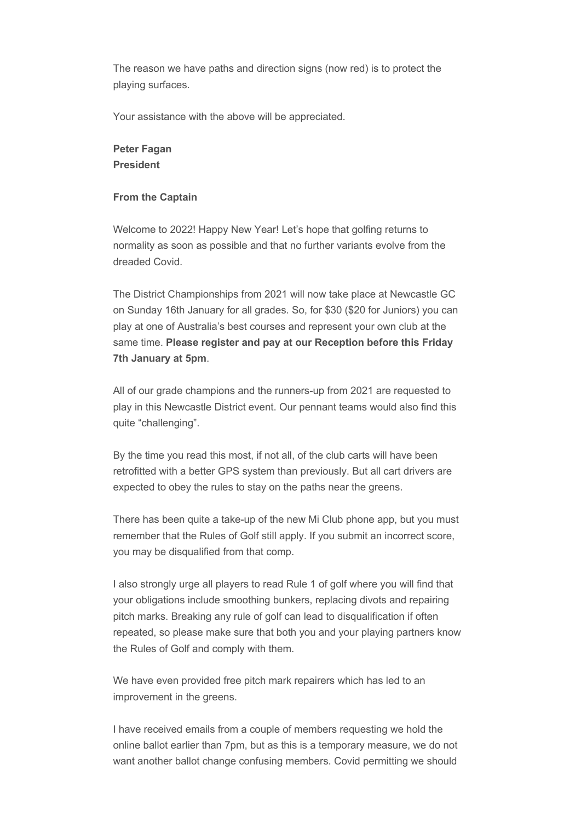The reason we have paths and direction signs (now red) is to protect the playing surfaces.

Your assistance with the above will be appreciated.

### **Peter Fagan President**

#### **From the Captain**

Welcome to 2022! Happy New Year! Let's hope that golfing returns to normality as soon as possible and that no further variants evolve from the dreaded Covid.

The District Championships from 2021 will now take place at Newcastle GC on Sunday 16th January for all grades. So, for \$30 (\$20 for Juniors) you can play at one of Australia's best courses and represent your own club at the same time. **Please register and pay at our Reception before this Friday 7th January at 5pm**.

All of our grade champions and the runners-up from 2021 are requested to play in this Newcastle District event. Our pennant teams would also find this quite "challenging".

By the time you read this most, if not all, of the club carts will have been retrofitted with a better GPS system than previously. But all cart drivers are expected to obey the rules to stay on the paths near the greens.

There has been quite a take-up of the new Mi Club phone app, but you must remember that the Rules of Golf still apply. If you submit an incorrect score, you may be disqualified from that comp.

I also strongly urge all players to read Rule 1 of golf where you will find that your obligations include smoothing bunkers, replacing divots and repairing pitch marks. Breaking any rule of golf can lead to disqualification if often repeated, so please make sure that both you and your playing partners know the Rules of Golf and comply with them.

We have even provided free pitch mark repairers which has led to an improvement in the greens.

I have received emails from a couple of members requesting we hold the online ballot earlier than 7pm, but as this is a temporary measure, we do not want another ballot change confusing members. Covid permitting we should